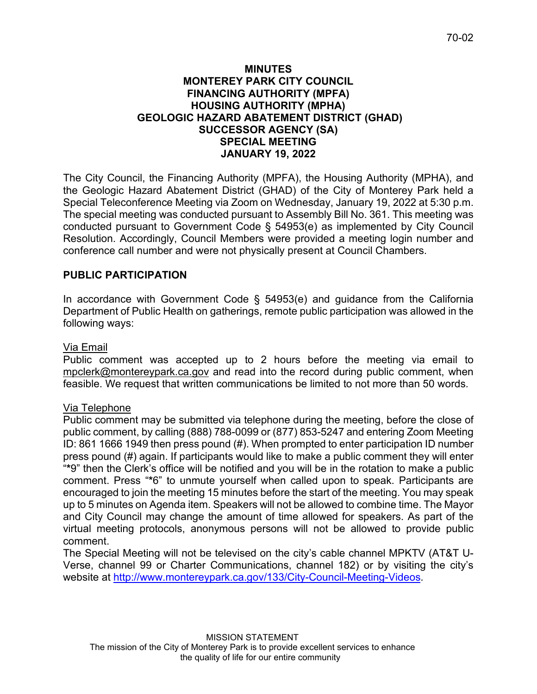### **MINUTES MONTEREY PARK CITY COUNCIL FINANCING AUTHORITY (MPFA) HOUSING AUTHORITY (MPHA) GEOLOGIC HAZARD ABATEMENT DISTRICT (GHAD) SUCCESSOR AGENCY (SA) SPECIAL MEETING JANUARY 19, 2022**

The City Council, the Financing Authority (MPFA), the Housing Authority (MPHA), and the Geologic Hazard Abatement District (GHAD) of the City of Monterey Park held a Special Teleconference Meeting via Zoom on Wednesday, January 19, 2022 at 5:30 p.m. The special meeting was conducted pursuant to Assembly Bill No. 361. This meeting was conducted pursuant to Government Code § 54953(e) as implemented by City Council Resolution. Accordingly, Council Members were provided a meeting login number and conference call number and were not physically present at Council Chambers.

# **PUBLIC PARTICIPATION**

In accordance with Government Code § 54953(e) and guidance from the California Department of Public Health on gatherings, remote public participation was allowed in the following ways:

# Via Email

Public comment was accepted up to 2 hours before the meeting via email to [mpclerk@montereypark.ca.gov](mailto:mpclerk@montereypark.ca.gov) and read into the record during public comment, when feasible. We request that written communications be limited to not more than 50 words.

# Via Telephone

Public comment may be submitted via telephone during the meeting, before the close of public comment, by calling (888) 788-0099 or (877) 853-5247 and entering Zoom Meeting ID: 861 1666 1949 then press pound (#). When prompted to enter participation ID number press pound (#) again. If participants would like to make a public comment they will enter "**\***9" then the Clerk's office will be notified and you will be in the rotation to make a public comment. Press "**\***6" to unmute yourself when called upon to speak. Participants are encouraged to join the meeting 15 minutes before the start of the meeting. You may speak up to 5 minutes on Agenda item. Speakers will not be allowed to combine time. The Mayor and City Council may change the amount of time allowed for speakers. As part of the virtual meeting protocols, anonymous persons will not be allowed to provide public comment.

The Special Meeting will not be televised on the city's cable channel MPKTV (AT&T U-Verse, channel 99 or Charter Communications, channel 182) or by visiting the city's website at [http://www.montereypark.ca.gov/133/City-Council-Meeting-Videos.](http://www.montereypark.ca.gov/133/City-Council-Meeting-Videos)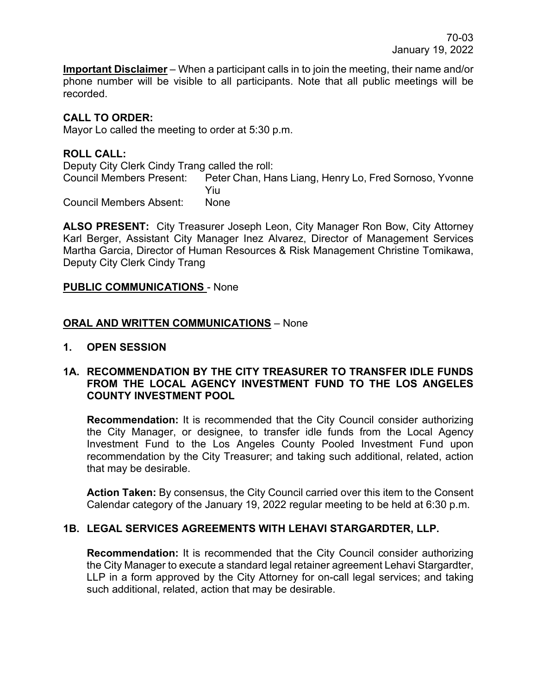**Important Disclaimer** – When a participant calls in to join the meeting, their name and/or phone number will be visible to all participants. Note that all public meetings will be recorded.

## **CALL TO ORDER:**

Mayor Lo called the meeting to order at 5:30 p.m.

## **ROLL CALL:**

Deputy City Clerk Cindy Trang called the roll: Peter Chan, Hans Liang, Henry Lo, Fred Sornoso, Yvonne Yiu Council Members Absent: None

**ALSO PRESENT:** City Treasurer Joseph Leon, City Manager Ron Bow, City Attorney Karl Berger, Assistant City Manager Inez Alvarez, Director of Management Services Martha Garcia, Director of Human Resources & Risk Management Christine Tomikawa, Deputy City Clerk Cindy Trang

### **PUBLIC COMMUNICATIONS** - None

### **ORAL AND WRITTEN COMMUNICATIONS** – None

**1. OPEN SESSION**

#### **1A. RECOMMENDATION BY THE CITY TREASURER TO TRANSFER IDLE FUNDS FROM THE LOCAL AGENCY INVESTMENT FUND TO THE LOS ANGELES COUNTY INVESTMENT POOL**

**Recommendation:** It is recommended that the City Council consider authorizing the City Manager, or designee, to transfer idle funds from the Local Agency Investment Fund to the Los Angeles County Pooled Investment Fund upon recommendation by the City Treasurer; and taking such additional, related, action that may be desirable.

**Action Taken:** By consensus, the City Council carried over this item to the Consent Calendar category of the January 19, 2022 regular meeting to be held at 6:30 p.m.

### **1B. LEGAL SERVICES AGREEMENTS WITH LEHAVI STARGARDTER, LLP.**

**Recommendation:** It is recommended that the City Council consider authorizing the City Manager to execute a standard legal retainer agreement Lehavi Stargardter, LLP in a form approved by the City Attorney for on-call legal services; and taking such additional, related, action that may be desirable.